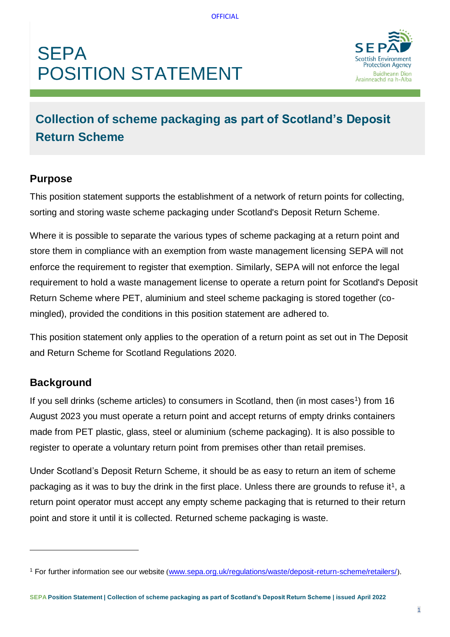# **SEPA POSITION STATEMENT**



## **Collection of scheme packaging as part of Scotland's Deposit Return Scheme**

#### **Purpose**

This position statement supports the establishment of a network of return points for collecting, sorting and storing waste scheme packaging under Scotland's Deposit Return Scheme.

Where it is possible to separate the various types of scheme packaging at a return point and store them in compliance with an exemption from waste management licensing SEPA will not enforce the requirement to register that exemption. Similarly, SEPA will not enforce the legal requirement to hold a waste management license to operate a return point for Scotland's Deposit Return Scheme where PET, aluminium and steel scheme packaging is stored together (comingled), provided the conditions in this position statement are adhered to.

This position statement only applies to the operation of a return point as set out in The Deposit and Return Scheme for Scotland Regulations 2020.

#### **Background**

If you sell drinks (scheme articles) to consumers in Scotland, then (in most cases<sup>1</sup>) from 16 August 2023 you must operate a return point and accept returns of empty drinks containers made from PET plastic, glass, steel or aluminium (scheme packaging). It is also possible to register to operate a voluntary return point from premises other than retail premises.

Under Scotland's Deposit Return Scheme, it should be as easy to return an item of scheme packaging as it was to buy the drink in the first place. Unless there are grounds to refuse it<sup>1</sup>, a return point operator must accept any empty scheme packaging that is returned to their return point and store it until it is collected. Returned scheme packaging is waste.

<sup>1</sup> For further information see our website ([www.sepa.org.uk/regulations/waste/deposit-return-scheme/retailers/](https://www.sepa.org.uk/regulations/waste/deposit-return-scheme/retailers/)).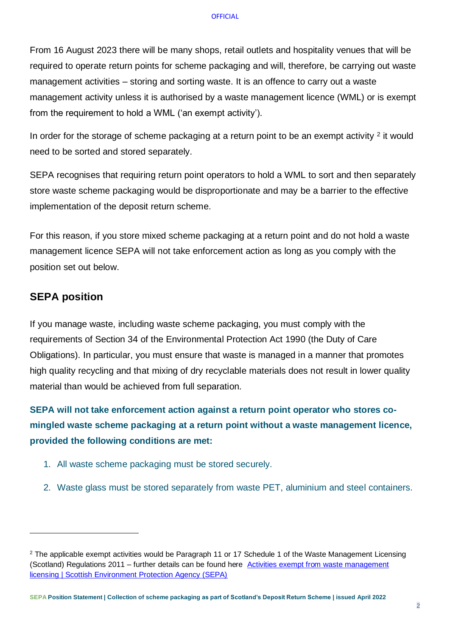#### **OFFICIAL**

From 16 August 2023 there will be many shops, retail outlets and hospitality venues that will be required to operate return points for scheme packaging and will, therefore, be carrying out waste management activities – storing and sorting waste. It is an offence to carry out a waste management activity unless it is authorised by a waste management licence (WML) or is exempt from the requirement to hold a WML ('an exempt activity').

In order for the storage of scheme packaging at a return point to be an exempt activity  $2$  it would need to be sorted and stored separately.

SEPA recognises that requiring return point operators to hold a WML to sort and then separately store waste scheme packaging would be disproportionate and may be a barrier to the effective implementation of the deposit return scheme.

For this reason, if you store mixed scheme packaging at a return point and do not hold a waste management licence SEPA will not take enforcement action as long as you comply with the position set out below.

### **SEPA position**

If you manage waste, including waste scheme packaging, you must comply with the requirements of Section 34 of the Environmental Protection Act 1990 (the Duty of Care Obligations). In particular, you must ensure that waste is managed in a manner that promotes high quality recycling and that mixing of dry recyclable materials does not result in lower quality material than would be achieved from full separation.

**SEPA will not take enforcement action against a return point operator who stores comingled waste scheme packaging at a return point without a waste management licence, provided the following conditions are met:**

- 1. All waste scheme packaging must be stored securely.
- 2. Waste glass must be stored separately from waste PET, aluminium and steel containers.

 $2$  The applicable exempt activities would be Paragraph 11 or 17 Schedule 1 of the Waste Management Licensing (Scotland) Regulations 2011 – further details can be found here [Activities exempt from waste management](https://www.sepa.org.uk/regulations/waste/activities-exempt-from-waste-management-licensing/)  [licensing | Scottish Environment Protection Agency \(SEPA\)](https://www.sepa.org.uk/regulations/waste/activities-exempt-from-waste-management-licensing/)